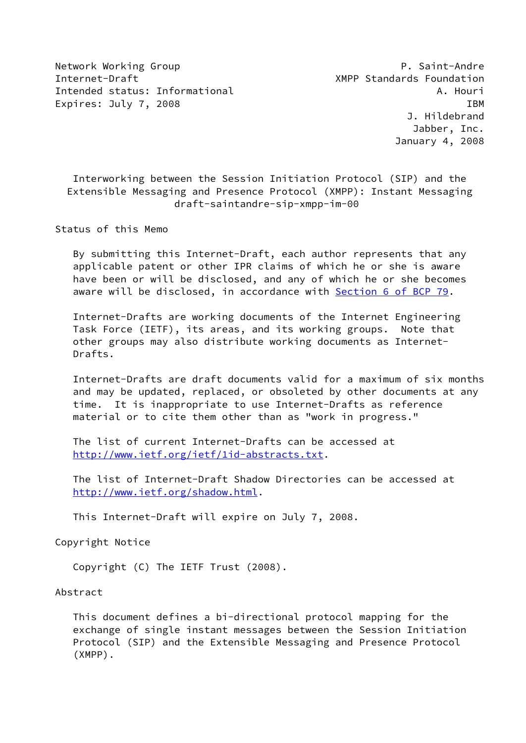Network Working Group **P. Saint-Andre** Internet-Draft XMPP Standards Foundation Intended status: Informational A. Houri Expires: July 7, 2008 IBM

 Interworking between the Session Initiation Protocol (SIP) and the Extensible Messaging and Presence Protocol (XMPP): Instant Messaging draft-saintandre-sip-xmpp-im-00

Status of this Memo

 By submitting this Internet-Draft, each author represents that any applicable patent or other IPR claims of which he or she is aware have been or will be disclosed, and any of which he or she becomes aware will be disclosed, in accordance with Section [6 of BCP 79.](https://datatracker.ietf.org/doc/pdf/bcp79#section-6)

 Internet-Drafts are working documents of the Internet Engineering Task Force (IETF), its areas, and its working groups. Note that other groups may also distribute working documents as Internet- Drafts.

 Internet-Drafts are draft documents valid for a maximum of six months and may be updated, replaced, or obsoleted by other documents at any time. It is inappropriate to use Internet-Drafts as reference material or to cite them other than as "work in progress."

 The list of current Internet-Drafts can be accessed at <http://www.ietf.org/ietf/1id-abstracts.txt>.

 The list of Internet-Draft Shadow Directories can be accessed at <http://www.ietf.org/shadow.html>.

This Internet-Draft will expire on July 7, 2008.

Copyright Notice

Copyright (C) The IETF Trust (2008).

Abstract

 This document defines a bi-directional protocol mapping for the exchange of single instant messages between the Session Initiation Protocol (SIP) and the Extensible Messaging and Presence Protocol (XMPP).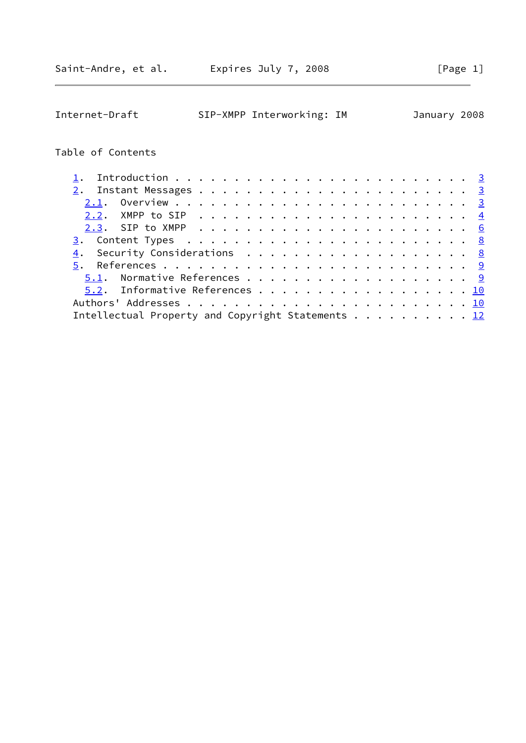| Internet-Draft    | SIP-XMPP Interworking: IM                                                                         |  | January 2008  |
|-------------------|---------------------------------------------------------------------------------------------------|--|---------------|
| Table of Contents |                                                                                                   |  |               |
| ı.                |                                                                                                   |  | $\frac{3}{2}$ |
| 2.                |                                                                                                   |  |               |
|                   |                                                                                                   |  |               |
| 2.2.              |                                                                                                   |  | $\frac{4}{3}$ |
|                   |                                                                                                   |  | 6             |
|                   |                                                                                                   |  |               |
| 4.                |                                                                                                   |  |               |
| 5.                |                                                                                                   |  |               |
| 5.1.              |                                                                                                   |  |               |
| 5.2.              | Informative References 10                                                                         |  |               |
|                   |                                                                                                   |  |               |
|                   | Intellectual Property and Copyright Statements $\cdots$ $\cdots$ $\cdots$ $\cdots$ $\frac{12}{2}$ |  |               |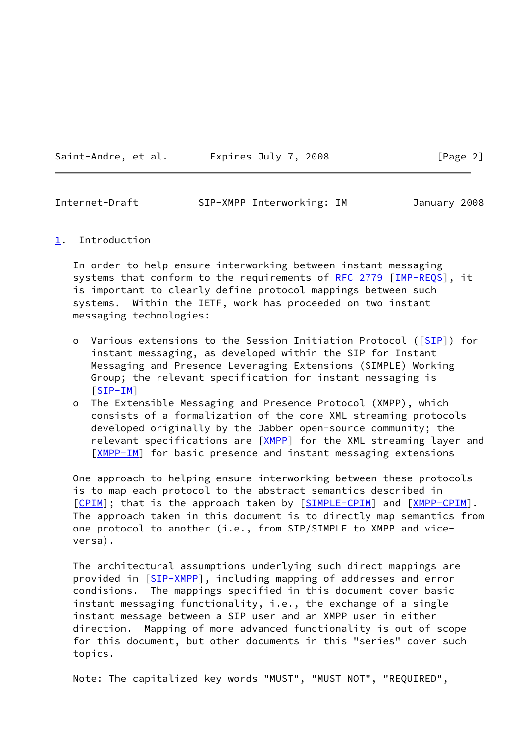Saint-Andre, et al. Expires July 7, 2008 [Page 2]

<span id="page-2-1"></span>Internet-Draft SIP-XMPP Interworking: IM January 2008

## <span id="page-2-0"></span>[1](#page-2-0). Introduction

 In order to help ensure interworking between instant messaging systems that conform to the requirements of [RFC 2779](https://datatracker.ietf.org/doc/pdf/rfc2779) [\[IMP-REQS](#page-9-3)], it is important to clearly define protocol mappings between such systems. Within the IETF, work has proceeded on two instant messaging technologies:

- o Various extensions to the Session Initiation Protocol ([[SIP](#page-9-4)]) for instant messaging, as developed within the SIP for Instant Messaging and Presence Leveraging Extensions (SIMPLE) Working Group; the relevant specification for instant messaging is [[SIP-IM](#page-9-5)]
- o The Extensible Messaging and Presence Protocol (XMPP), which consists of a formalization of the core XML streaming protocols developed originally by the Jabber open-source community; the relevant specifications are [\[XMPP](#page-10-2)] for the XML streaming layer and [[XMPP-IM\]](#page-10-3) for basic presence and instant messaging extensions

 One approach to helping ensure interworking between these protocols is to map each protocol to the abstract semantics described in [\[CPIM](#page-10-4)]; that is the approach taken by [[SIMPLE-CPIM](#page-10-5)] and [\[XMPP-CPIM](#page-10-6)]. The approach taken in this document is to directly map semantics from one protocol to another (i.e., from SIP/SIMPLE to XMPP and vice versa).

 The architectural assumptions underlying such direct mappings are provided in [\[SIP-XMPP](#page-9-6)], including mapping of addresses and error condisions. The mappings specified in this document cover basic instant messaging functionality, i.e., the exchange of a single instant message between a SIP user and an XMPP user in either direction. Mapping of more advanced functionality is out of scope for this document, but other documents in this "series" cover such topics.

Note: The capitalized key words "MUST", "MUST NOT", "REQUIRED",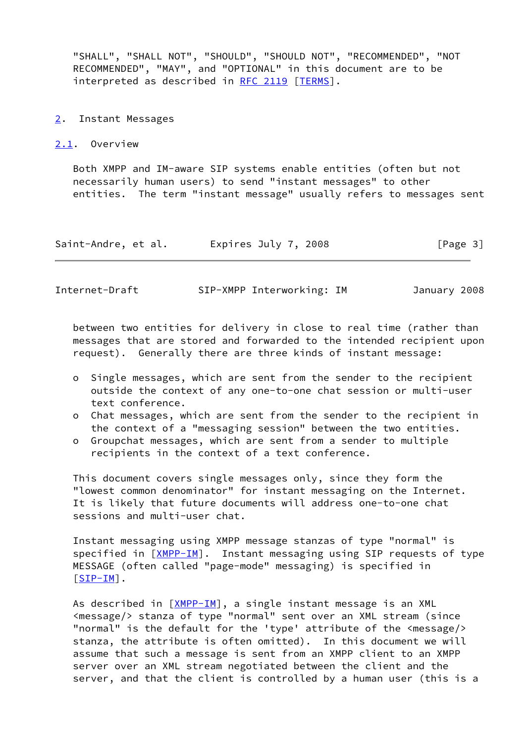"SHALL", "SHALL NOT", "SHOULD", "SHOULD NOT", "RECOMMENDED", "NOT RECOMMENDED", "MAY", and "OPTIONAL" in this document are to be interpreted as described in [RFC 2119](https://datatracker.ietf.org/doc/pdf/rfc2119) [\[TERMS\]](#page-10-7).

- <span id="page-3-0"></span>[2](#page-3-0). Instant Messages
- <span id="page-3-1"></span>[2.1](#page-3-1). Overview

 Both XMPP and IM-aware SIP systems enable entities (often but not necessarily human users) to send "instant messages" to other entities. The term "instant message" usually refers to messages sent

| Saint-Andre, et al. | Expires July 7, 2008 | [Page 3] |
|---------------------|----------------------|----------|
|---------------------|----------------------|----------|

<span id="page-3-2"></span>Internet-Draft SIP-XMPP Interworking: IM January 2008

 between two entities for delivery in close to real time (rather than messages that are stored and forwarded to the intended recipient upon request). Generally there are three kinds of instant message:

- o Single messages, which are sent from the sender to the recipient outside the context of any one-to-one chat session or multi-user text conference.
- o Chat messages, which are sent from the sender to the recipient in the context of a "messaging session" between the two entities.
- o Groupchat messages, which are sent from a sender to multiple recipients in the context of a text conference.

 This document covers single messages only, since they form the "lowest common denominator" for instant messaging on the Internet. It is likely that future documents will address one-to-one chat sessions and multi-user chat.

 Instant messaging using XMPP message stanzas of type "normal" is specified in [\[XMPP-IM](#page-10-3)]. Instant messaging using SIP requests of type MESSAGE (often called "page-mode" messaging) is specified in [\[SIP-IM](#page-9-5)].

As described in  $[XMPP-IM]$  $[XMPP-IM]$ , a single instant message is an XML <message/> stanza of type "normal" sent over an XML stream (since "normal" is the default for the 'type' attribute of the <message/> stanza, the attribute is often omitted). In this document we will assume that such a message is sent from an XMPP client to an XMPP server over an XML stream negotiated between the client and the server, and that the client is controlled by a human user (this is a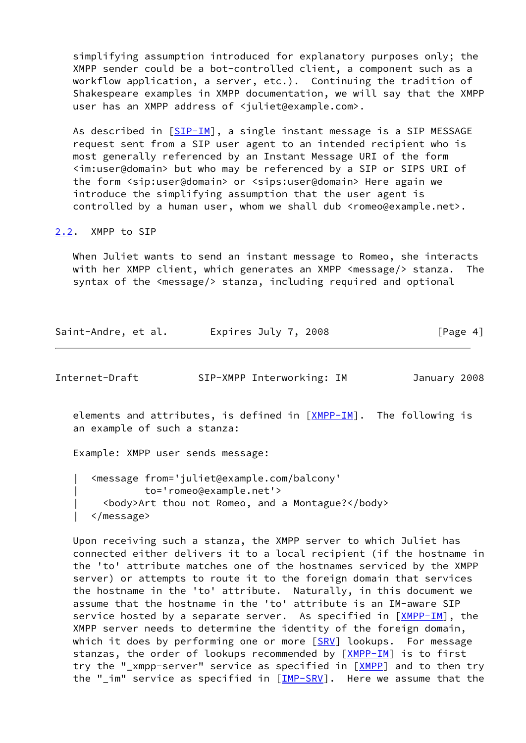simplifying assumption introduced for explanatory purposes only; the XMPP sender could be a bot-controlled client, a component such as a workflow application, a server, etc.). Continuing the tradition of Shakespeare examples in XMPP documentation, we will say that the XMPP user has an XMPP address of <juliet@example.com>.

As described in [\[SIP-IM](#page-9-5)], a single instant message is a SIP MESSAGE request sent from a SIP user agent to an intended recipient who is most generally referenced by an Instant Message URI of the form <im:user@domain> but who may be referenced by a SIP or SIPS URI of the form <sip:user@domain> or <sips:user@domain> Here again we introduce the simplifying assumption that the user agent is controlled by a human user, whom we shall dub <romeo@example.net>.

## <span id="page-4-0"></span>[2.2](#page-4-0). XMPP to SIP

 When Juliet wants to send an instant message to Romeo, she interacts with her XMPP client, which generates an XMPP <message/> stanza. The syntax of the <message/> stanza, including required and optional

| Saint-Andre, et al. | Expires July 7, 2008 | [Page 4] |
|---------------------|----------------------|----------|
|---------------------|----------------------|----------|

| Internet-Draft |  | SIP-XMPP Interworking: IM |  | January 2008 |  |
|----------------|--|---------------------------|--|--------------|--|
|----------------|--|---------------------------|--|--------------|--|

elements and attributes, is defined in  $[XMPP-IM]$  $[XMPP-IM]$ . The following is an example of such a stanza:

Example: XMPP user sends message:

 | <message from='juliet@example.com/balcony' | to='romeo@example.net'> | <body>Art thou not Romeo, and a Montague?</body> | </message>

 Upon receiving such a stanza, the XMPP server to which Juliet has connected either delivers it to a local recipient (if the hostname in the 'to' attribute matches one of the hostnames serviced by the XMPP server) or attempts to route it to the foreign domain that services the hostname in the 'to' attribute. Naturally, in this document we assume that the hostname in the 'to' attribute is an IM-aware SIP service hosted by a separate server. As specified in [[XMPP-IM](#page-10-3)], the XMPP server needs to determine the identity of the foreign domain, which it does by performing one or more  $[SRV]$  $[SRV]$  lookups. For message stanzas, the order of lookups recommended by [\[XMPP-IM](#page-10-3)] is to first try the "\_xmpp-server" service as specified in [\[XMPP](#page-10-2)] and to then try the "\_im" service as specified in  $[IMP-SRV]$  $[IMP-SRV]$  $[IMP-SRV]$ . Here we assume that the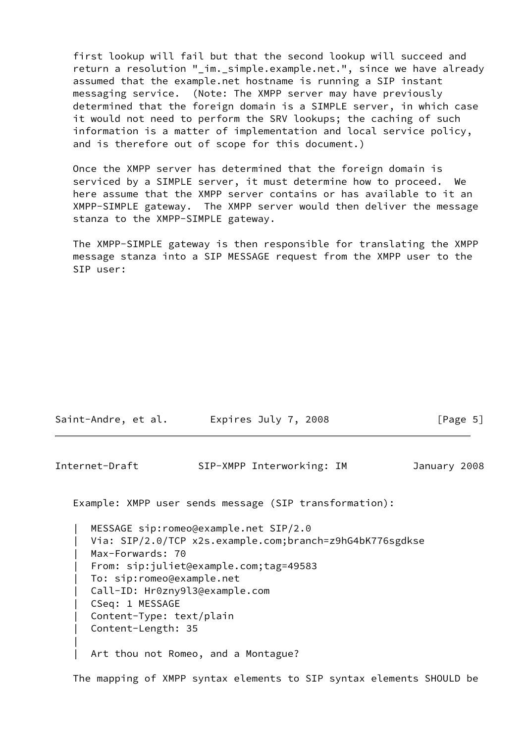first lookup will fail but that the second lookup will succeed and return a resolution "\_im.\_simple.example.net.", since we have already assumed that the example.net hostname is running a SIP instant messaging service. (Note: The XMPP server may have previously determined that the foreign domain is a SIMPLE server, in which case it would not need to perform the SRV lookups; the caching of such information is a matter of implementation and local service policy, and is therefore out of scope for this document.)

 Once the XMPP server has determined that the foreign domain is serviced by a SIMPLE server, it must determine how to proceed. We here assume that the XMPP server contains or has available to it an XMPP-SIMPLE gateway. The XMPP server would then deliver the message stanza to the XMPP-SIMPLE gateway.

 The XMPP-SIMPLE gateway is then responsible for translating the XMPP message stanza into a SIP MESSAGE request from the XMPP user to the SIP user:

| Saint-Andre, et al. | Expires July 7, 2008 | [Page 5] |
|---------------------|----------------------|----------|
|---------------------|----------------------|----------|

<span id="page-5-0"></span>Internet-Draft SIP-XMPP Interworking: IM January 2008

Example: XMPP user sends message (SIP transformation):

|

 | MESSAGE sip:romeo@example.net SIP/2.0 Via: SIP/2.0/TCP x2s.example.com;branch=z9hG4bK776sgdkse Max-Forwards: 70 | From: sip:juliet@example.com;tag=49583 | To: sip:romeo@example.net | Call-ID: Hr0zny9l3@example.com | CSeq: 1 MESSAGE Content-Type: text/plain | Content-Length: 35 Art thou not Romeo, and a Montague?

The mapping of XMPP syntax elements to SIP syntax elements SHOULD be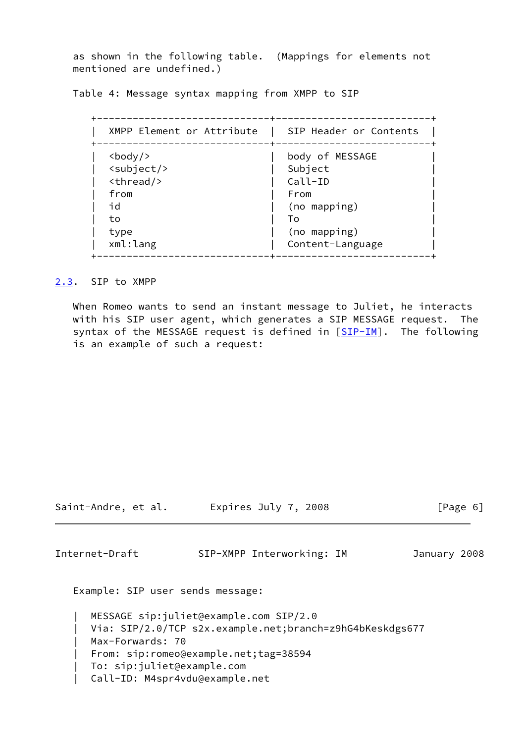as shown in the following table. (Mappings for elements not mentioned are undefined.)

Table 4: Message syntax mapping from XMPP to SIP

| XMPP Element or Attribute        | SIP Header or Contents |
|----------------------------------|------------------------|
| $<$ body/>                       | body of MESSAGE        |
| $\langle \text{subject} \rangle$ | Subject                |
| $<$ thread/>                     | Call-ID                |
| from                             | From                   |
| id                               | (no mapping)           |
| to                               | To                     |
| type                             | (no mapping)           |
| xml:lang                         | Content-Language       |

<span id="page-6-0"></span>[2.3](#page-6-0). SIP to XMPP

 When Romeo wants to send an instant message to Juliet, he interacts with his SIP user agent, which generates a SIP MESSAGE request. The syntax of the MESSAGE request is defined in  $[\underline{SIP-IM}]$ . The following is an example of such a request:

Saint-Andre, et al. Expires July 7, 2008 [Page 6]

Internet-Draft SIP-XMPP Interworking: IM January 2008

Example: SIP user sends message:

```
 | MESSAGE sip:juliet@example.com SIP/2.0
Via: SIP/2.0/TCP s2x.example.net;branch=z9hG4bKeskdgs677
Max-Forwards: 70
 | From: sip:romeo@example.net;tag=38594
  | To: sip:juliet@example.com
  | Call-ID: M4spr4vdu@example.net
```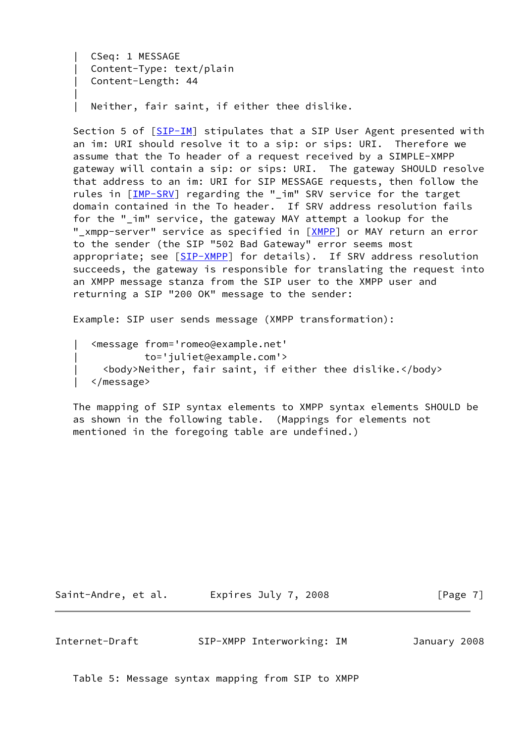```
 | CSeq: 1 MESSAGE
     Content-Type: text/plain
      | Content-Length: 44
 |
     Neither, fair saint, if either thee dislike.
```
 Section 5 of [\[SIP-IM](#page-9-5)] stipulates that a SIP User Agent presented with an im: URI should resolve it to a sip: or sips: URI. Therefore we assume that the To header of a request received by a SIMPLE-XMPP gateway will contain a sip: or sips: URI. The gateway SHOULD resolve that address to an im: URI for SIP MESSAGE requests, then follow the rules in [\[IMP-SRV](#page-9-7)] regarding the "\_im" SRV service for the target domain contained in the To header. If SRV address resolution fails for the "\_im" service, the gateway MAY attempt a lookup for the "\_xmpp-server" service as specified in [\[XMPP](#page-10-2)] or MAY return an error to the sender (the SIP "502 Bad Gateway" error seems most appropriate; see [\[SIP-XMPP](#page-9-6)] for details). If SRV address resolution succeeds, the gateway is responsible for translating the request into an XMPP message stanza from the SIP user to the XMPP user and returning a SIP "200 OK" message to the sender:

Example: SIP user sends message (XMPP transformation):

 | <message from='romeo@example.net' | to='juliet@example.com'> | <body>Neither, fair saint, if either thee dislike.</body> | </message>

 The mapping of SIP syntax elements to XMPP syntax elements SHOULD be as shown in the following table. (Mappings for elements not mentioned in the foregoing table are undefined.)

Saint-Andre, et al. Expires July 7, 2008 [Page 7]

<span id="page-7-0"></span>Internet-Draft SIP-XMPP Interworking: IM January 2008

Table 5: Message syntax mapping from SIP to XMPP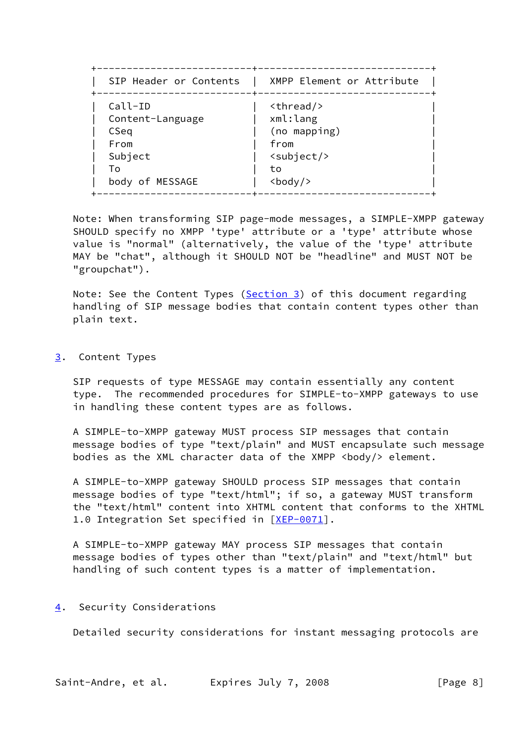| SIP Header or Contents         | XMPP Element or Attribute |
|--------------------------------|---------------------------|
| -------------+-----<br>Call-ID | $<$ thread/>              |
| Content-Language               | xml:lang                  |
| CSeq                           | (no mapping)              |
| From                           | from                      |
| Subject                        | <subject></subject>       |
| T٥                             | to                        |
| body of MESSAGE                | $body$                    |

 Note: When transforming SIP page-mode messages, a SIMPLE-XMPP gateway SHOULD specify no XMPP 'type' attribute or a 'type' attribute whose value is "normal" (alternatively, the value of the 'type' attribute MAY be "chat", although it SHOULD NOT be "headline" and MUST NOT be "groupchat").

Note: See the Content Types [\(Section 3](#page-8-0)) of this document regarding handling of SIP message bodies that contain content types other than plain text.

<span id="page-8-0"></span>[3](#page-8-0). Content Types

 SIP requests of type MESSAGE may contain essentially any content type. The recommended procedures for SIMPLE-to-XMPP gateways to use in handling these content types are as follows.

 A SIMPLE-to-XMPP gateway MUST process SIP messages that contain message bodies of type "text/plain" and MUST encapsulate such message bodies as the XML character data of the XMPP <br/>body/> element.

 A SIMPLE-to-XMPP gateway SHOULD process SIP messages that contain message bodies of type "text/html"; if so, a gateway MUST transform the "text/html" content into XHTML content that conforms to the XHTML 1.0 Integration Set specified in [\[XEP-0071](#page-10-9)].

 A SIMPLE-to-XMPP gateway MAY process SIP messages that contain message bodies of types other than "text/plain" and "text/html" but handling of such content types is a matter of implementation.

## <span id="page-8-1"></span>[4](#page-8-1). Security Considerations

Detailed security considerations for instant messaging protocols are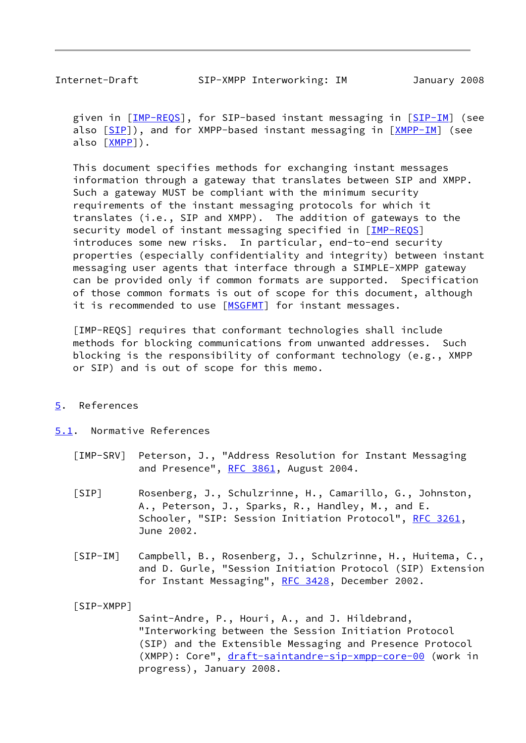<span id="page-9-1"></span>

given in [\[IMP-REQS](#page-9-3)], for SIP-based instant messaging in [\[SIP-IM](#page-9-5)] (see also [\[SIP](#page-9-4)]), and for XMPP-based instant messaging in [\[XMPP-IM](#page-10-3)] (see also [\[XMPP](#page-10-2)]).

 This document specifies methods for exchanging instant messages information through a gateway that translates between SIP and XMPP. Such a gateway MUST be compliant with the minimum security requirements of the instant messaging protocols for which it translates (i.e., SIP and XMPP). The addition of gateways to the security model of instant messaging specified in [\[IMP-REQS](#page-9-3)] introduces some new risks. In particular, end-to-end security properties (especially confidentiality and integrity) between instant messaging user agents that interface through a SIMPLE-XMPP gateway can be provided only if common formats are supported. Specification of those common formats is out of scope for this document, although it is recommended to use [\[MSGFMT](#page-10-10)] for instant messages.

<span id="page-9-3"></span> [IMP-REQS] requires that conformant technologies shall include methods for blocking communications from unwanted addresses. Such blocking is the responsibility of conformant technology (e.g., XMPP or SIP) and is out of scope for this memo.

## <span id="page-9-0"></span>[5](#page-9-0). References

- <span id="page-9-7"></span><span id="page-9-4"></span><span id="page-9-2"></span>[5.1](#page-9-2). Normative References
	- [IMP-SRV] Peterson, J., "Address Resolution for Instant Messaging and Presence", [RFC 3861](https://datatracker.ietf.org/doc/pdf/rfc3861), August 2004.
	- [SIP] Rosenberg, J., Schulzrinne, H., Camarillo, G., Johnston, A., Peterson, J., Sparks, R., Handley, M., and E. Schooler, "SIP: Session Initiation Protocol", [RFC 3261](https://datatracker.ietf.org/doc/pdf/rfc3261), June 2002.
	- [SIP-IM] Campbell, B., Rosenberg, J., Schulzrinne, H., Huitema, C., and D. Gurle, "Session Initiation Protocol (SIP) Extension for Instant Messaging", [RFC 3428,](https://datatracker.ietf.org/doc/pdf/rfc3428) December 2002.

<span id="page-9-6"></span><span id="page-9-5"></span>[SIP-XMPP]

 Saint-Andre, P., Houri, A., and J. Hildebrand, "Interworking between the Session Initiation Protocol (SIP) and the Extensible Messaging and Presence Protocol (XMPP): Core", [draft-saintandre-sip-xmpp-core-00](https://datatracker.ietf.org/doc/pdf/draft-saintandre-sip-xmpp-core-00) (work in progress), January 2008.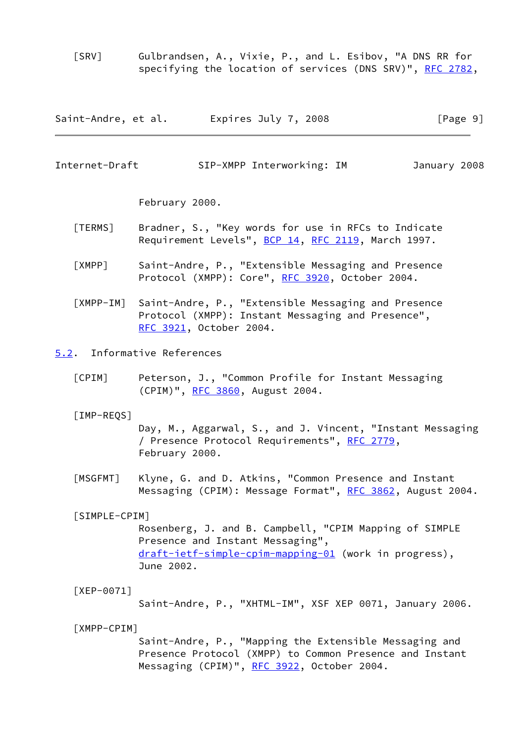<span id="page-10-8"></span> [SRV] Gulbrandsen, A., Vixie, P., and L. Esibov, "A DNS RR for specifying the location of services (DNS SRV)", [RFC 2782,](https://datatracker.ietf.org/doc/pdf/rfc2782)

| Saint-Andre, et al. | Expires July 7, 2008 | [Page 9] |
|---------------------|----------------------|----------|
|---------------------|----------------------|----------|

<span id="page-10-1"></span>Internet-Draft SIP-XMPP Interworking: IM January 2008

February 2000.

- <span id="page-10-7"></span> [TERMS] Bradner, S., "Key words for use in RFCs to Indicate Requirement Levels", [BCP 14](https://datatracker.ietf.org/doc/pdf/bcp14), [RFC 2119](https://datatracker.ietf.org/doc/pdf/rfc2119), March 1997.
- <span id="page-10-2"></span> [XMPP] Saint-Andre, P., "Extensible Messaging and Presence Protocol (XMPP): Core", [RFC 3920,](https://datatracker.ietf.org/doc/pdf/rfc3920) October 2004.
- <span id="page-10-3"></span> [XMPP-IM] Saint-Andre, P., "Extensible Messaging and Presence Protocol (XMPP): Instant Messaging and Presence", [RFC 3921,](https://datatracker.ietf.org/doc/pdf/rfc3921) October 2004.

<span id="page-10-0"></span>[5.2](#page-10-0). Informative References

<span id="page-10-4"></span> [CPIM] Peterson, J., "Common Profile for Instant Messaging (CPIM)", [RFC 3860,](https://datatracker.ietf.org/doc/pdf/rfc3860) August 2004.

[IMP-REQS]

 Day, M., Aggarwal, S., and J. Vincent, "Instant Messaging / Presence Protocol Requirements", [RFC 2779](https://datatracker.ietf.org/doc/pdf/rfc2779), February 2000.

<span id="page-10-10"></span> [MSGFMT] Klyne, G. and D. Atkins, "Common Presence and Instant Messaging (CPIM): Message Format", [RFC 3862](https://datatracker.ietf.org/doc/pdf/rfc3862), August 2004.

<span id="page-10-5"></span>[SIMPLE-CPIM]

 Rosenberg, J. and B. Campbell, "CPIM Mapping of SIMPLE Presence and Instant Messaging", [draft-ietf-simple-cpim-mapping-01](https://datatracker.ietf.org/doc/pdf/draft-ietf-simple-cpim-mapping-01) (work in progress), June 2002.

<span id="page-10-9"></span>[XEP-0071]

Saint-Andre, P., "XHTML-IM", XSF XEP 0071, January 2006.

<span id="page-10-6"></span>[XMPP-CPIM]

 Saint-Andre, P., "Mapping the Extensible Messaging and Presence Protocol (XMPP) to Common Presence and Instant Messaging (CPIM)", [RFC 3922](https://datatracker.ietf.org/doc/pdf/rfc3922), October 2004.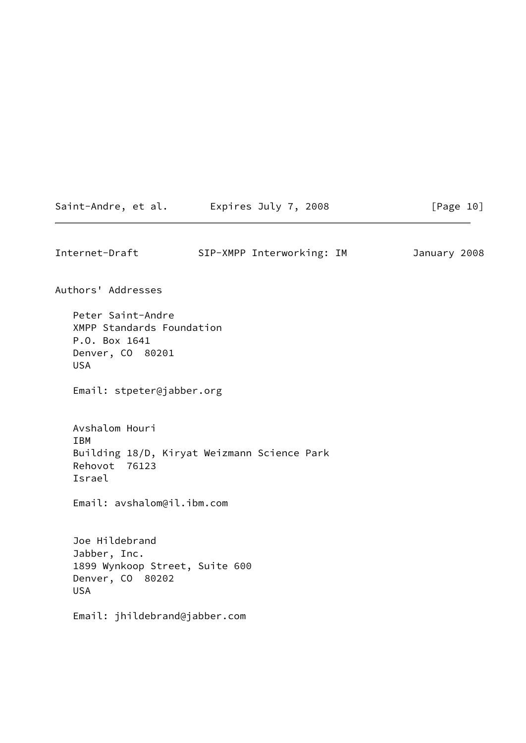| SIP-XMPP Interworking: IM<br>Peter Saint-Andre<br>XMPP Standards Foundation<br>P.O. Box 1641<br>Denver, CO 80201<br><b>USA</b><br>Email: stpeter@jabber.org<br>Avshalom Houri<br><b>IBM</b><br>Building 18/D, Kiryat Weizmann Science Park<br>Rehovot 76123<br>Israel<br>Email: avshalom@il.ibm.com<br>Joe Hildebrand<br>Jabber, Inc.<br>1899 Wynkoop Street, Suite 600<br>Denver, CO 80202<br><b>USA</b><br>Email: jhildebrand@jabber.com |                    | Saint-Andre, et al. Expires July 7, 2008 | [Page 10]    |
|--------------------------------------------------------------------------------------------------------------------------------------------------------------------------------------------------------------------------------------------------------------------------------------------------------------------------------------------------------------------------------------------------------------------------------------------|--------------------|------------------------------------------|--------------|
|                                                                                                                                                                                                                                                                                                                                                                                                                                            | Internet-Draft     |                                          | January 2008 |
|                                                                                                                                                                                                                                                                                                                                                                                                                                            | Authors' Addresses |                                          |              |
|                                                                                                                                                                                                                                                                                                                                                                                                                                            |                    |                                          |              |
|                                                                                                                                                                                                                                                                                                                                                                                                                                            |                    |                                          |              |
|                                                                                                                                                                                                                                                                                                                                                                                                                                            |                    |                                          |              |
|                                                                                                                                                                                                                                                                                                                                                                                                                                            |                    |                                          |              |
|                                                                                                                                                                                                                                                                                                                                                                                                                                            |                    |                                          |              |
|                                                                                                                                                                                                                                                                                                                                                                                                                                            |                    |                                          |              |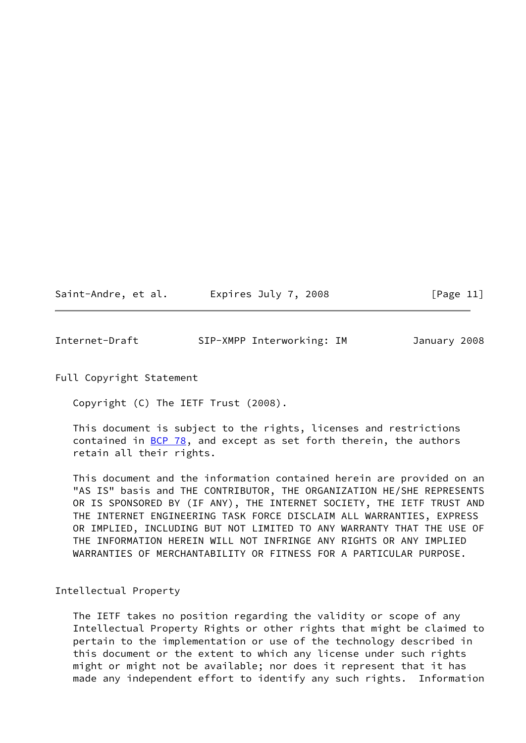Saint-Andre, et al. Expires July 7, 2008 [Page 11]

<span id="page-12-0"></span>Internet-Draft SIP-XMPP Interworking: IM January 2008

Full Copyright Statement

Copyright (C) The IETF Trust (2008).

 This document is subject to the rights, licenses and restrictions contained in  $\underline{BCP}$  78, and except as set forth therein, the authors retain all their rights.

 This document and the information contained herein are provided on an "AS IS" basis and THE CONTRIBUTOR, THE ORGANIZATION HE/SHE REPRESENTS OR IS SPONSORED BY (IF ANY), THE INTERNET SOCIETY, THE IETF TRUST AND THE INTERNET ENGINEERING TASK FORCE DISCLAIM ALL WARRANTIES, EXPRESS OR IMPLIED, INCLUDING BUT NOT LIMITED TO ANY WARRANTY THAT THE USE OF THE INFORMATION HEREIN WILL NOT INFRINGE ANY RIGHTS OR ANY IMPLIED WARRANTIES OF MERCHANTABILITY OR FITNESS FOR A PARTICULAR PURPOSE.

Intellectual Property

 The IETF takes no position regarding the validity or scope of any Intellectual Property Rights or other rights that might be claimed to pertain to the implementation or use of the technology described in this document or the extent to which any license under such rights might or might not be available; nor does it represent that it has made any independent effort to identify any such rights. Information